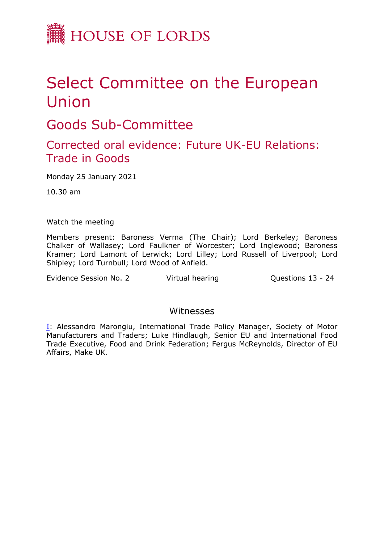

## Select Committee on the European Union

Goods Sub-Committee

## Corrected oral evidence: Future UK-EU Relations: Trade in Goods

Monday 25 January 2021

10.30 am

Watch the meeting

Members present: Baroness Verma (The Chair); Lord Berkeley; Baroness Chalker of Wallasey; Lord Faulkner of Worcester; Lord Inglewood; Baroness Kramer; Lord Lamont of Lerwick; Lord Lilley; Lord Russell of Liverpool; Lord Shipley; Lord Turnbull; Lord Wood of Anfield.

Evidence Session No. 2 Virtual hearing Cuestions 13 - 24

## Witnesses

[I:](#page-1-0) Alessandro Marongiu, International Trade Policy Manager, Society of Motor Manufacturers and Traders; Luke Hindlaugh, Senior EU and International Food Trade Executive, Food and Drink Federation; Fergus McReynolds, Director of EU Affairs, Make UK.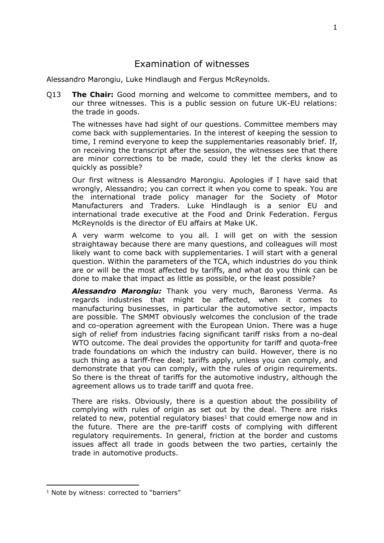## <span id="page-1-0"></span>Examination of witnesses

Alessandro Marongiu, Luke Hindlaugh and Fergus McReynolds.

Q13 **The Chair:** Good morning and welcome to committee members, and to our three witnesses. This is a public session on future UK-EU relations: the trade in goods.

The witnesses have had sight of our questions. Committee members may come back with supplementaries. In the interest of keeping the session to time, I remind everyone to keep the supplementaries reasonably brief. If, on receiving the transcript after the session, the witnesses see that there are minor corrections to be made, could they let the clerks know as quickly as possible?

Our first witness is Alessandro Marongiu. Apologies if I have said that wrongly, Alessandro; you can correct it when you come to speak. You are the international trade policy manager for the Society of Motor Manufacturers and Traders. Luke Hindlaugh is a senior EU and international trade executive at the Food and Drink Federation. Fergus McReynolds is the director of EU affairs at Make UK.

A very warm welcome to you all. I will get on with the session straightaway because there are many questions, and colleagues will most likely want to come back with supplementaries. I will start with a general question. Within the parameters of the TCA, which industries do you think are or will be the most affected by tariffs, and what do you think can be done to make that impact as little as possible, or the least possible?

*Alessandro Marongiu:* Thank you very much, Baroness Verma. As regards industries that might be affected, when it comes to manufacturing businesses, in particular the automotive sector, impacts are possible. The SMMT obviously welcomes the conclusion of the trade and co-operation agreement with the European Union. There was a huge sigh of relief from industries facing significant tariff risks from a no-deal WTO outcome. The deal provides the opportunity for tariff and quota-free trade foundations on which the industry can build. However, there is no such thing as a tariff-free deal; tariffs apply, unless you can comply, and demonstrate that you can comply, with the rules of origin requirements. So there is the threat of tariffs for the automotive industry, although the agreement allows us to trade tariff and quota free.

There are risks. Obviously, there is a question about the possibility of complying with rules of origin as set out by the deal. There are risks related to new, potential regulatory biases<sup>1</sup> that could emerge now and in the future. There are the pre-tariff costs of complying with different regulatory requirements. In general, friction at the border and customs issues affect all trade in goods between the two parties, certainly the trade in automotive products.

<sup>&</sup>lt;sup>1</sup> Note by witness: corrected to "barriers"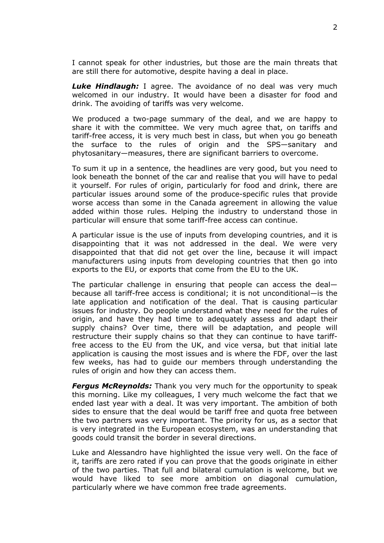I cannot speak for other industries, but those are the main threats that are still there for automotive, despite having a deal in place.

*Luke Hindlaugh:* I agree. The avoidance of no deal was very much welcomed in our industry. It would have been a disaster for food and drink. The avoiding of tariffs was very welcome.

We produced a two-page summary of the deal, and we are happy to share it with the committee. We very much agree that, on tariffs and tariff-free access, it is very much best in class, but when you go beneath the surface to the rules of origin and the SPS—sanitary and phytosanitary—measures, there are significant barriers to overcome.

To sum it up in a sentence, the headlines are very good, but you need to look beneath the bonnet of the car and realise that you will have to pedal it yourself. For rules of origin, particularly for food and drink, there are particular issues around some of the produce-specific rules that provide worse access than some in the Canada agreement in allowing the value added within those rules. Helping the industry to understand those in particular will ensure that some tariff-free access can continue.

A particular issue is the use of inputs from developing countries, and it is disappointing that it was not addressed in the deal. We were very disappointed that that did not get over the line, because it will impact manufacturers using inputs from developing countries that then go into exports to the EU, or exports that come from the EU to the UK.

The particular challenge in ensuring that people can access the deal because all tariff-free access is conditional; it is not unconditional—is the late application and notification of the deal. That is causing particular issues for industry. Do people understand what they need for the rules of origin, and have they had time to adequately assess and adapt their supply chains? Over time, there will be adaptation, and people will restructure their supply chains so that they can continue to have tarifffree access to the EU from the UK, and vice versa, but that initial late application is causing the most issues and is where the FDF, over the last few weeks, has had to guide our members through understanding the rules of origin and how they can access them.

*Fergus McReynolds:* Thank you very much for the opportunity to speak this morning. Like my colleagues, I very much welcome the fact that we ended last year with a deal. It was very important. The ambition of both sides to ensure that the deal would be tariff free and quota free between the two partners was very important. The priority for us, as a sector that is very integrated in the European ecosystem, was an understanding that goods could transit the border in several directions.

Luke and Alessandro have highlighted the issue very well. On the face of it, tariffs are zero rated if you can prove that the goods originate in either of the two parties. That full and bilateral cumulation is welcome, but we would have liked to see more ambition on diagonal cumulation, particularly where we have common free trade agreements.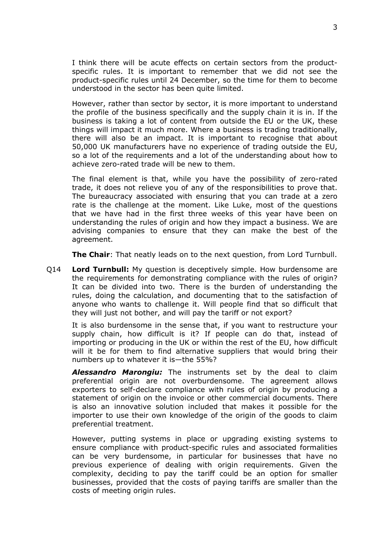I think there will be acute effects on certain sectors from the productspecific rules. It is important to remember that we did not see the product-specific rules until 24 December, so the time for them to become understood in the sector has been quite limited.

However, rather than sector by sector, it is more important to understand the profile of the business specifically and the supply chain it is in. If the business is taking a lot of content from outside the EU or the UK, these things will impact it much more. Where a business is trading traditionally, there will also be an impact. It is important to recognise that about 50,000 UK manufacturers have no experience of trading outside the EU, so a lot of the requirements and a lot of the understanding about how to achieve zero-rated trade will be new to them.

The final element is that, while you have the possibility of zero-rated trade, it does not relieve you of any of the responsibilities to prove that. The bureaucracy associated with ensuring that you can trade at a zero rate is the challenge at the moment. Like Luke, most of the questions that we have had in the first three weeks of this year have been on understanding the rules of origin and how they impact a business. We are advising companies to ensure that they can make the best of the agreement.

**The Chair**: That neatly leads on to the next question, from Lord Turnbull.

Q14 **Lord Turnbull:** My question is deceptively simple. How burdensome are the requirements for demonstrating compliance with the rules of origin? It can be divided into two. There is the burden of understanding the rules, doing the calculation, and documenting that to the satisfaction of anyone who wants to challenge it. Will people find that so difficult that they will just not bother, and will pay the tariff or not export?

It is also burdensome in the sense that, if you want to restructure your supply chain, how difficult is it? If people can do that, instead of importing or producing in the UK or within the rest of the EU, how difficult will it be for them to find alternative suppliers that would bring their numbers up to whatever it is—the 55%?

*Alessandro Marongiu:* The instruments set by the deal to claim preferential origin are not overburdensome. The agreement allows exporters to self-declare compliance with rules of origin by producing a statement of origin on the invoice or other commercial documents. There is also an innovative solution included that makes it possible for the importer to use their own knowledge of the origin of the goods to claim preferential treatment.

However, putting systems in place or upgrading existing systems to ensure compliance with product-specific rules and associated formalities can be very burdensome, in particular for businesses that have no previous experience of dealing with origin requirements. Given the complexity, deciding to pay the tariff could be an option for smaller businesses, provided that the costs of paying tariffs are smaller than the costs of meeting origin rules.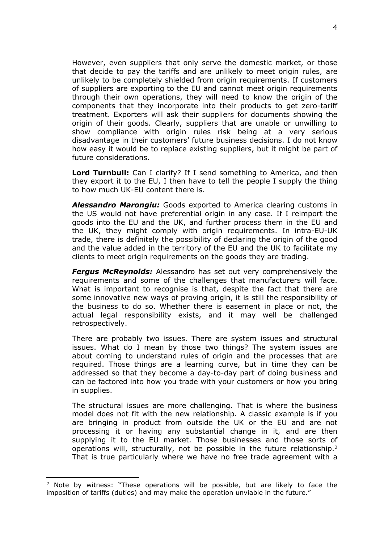However, even suppliers that only serve the domestic market, or those that decide to pay the tariffs and are unlikely to meet origin rules, are unlikely to be completely shielded from origin requirements. If customers of suppliers are exporting to the EU and cannot meet origin requirements through their own operations, they will need to know the origin of the components that they incorporate into their products to get zero-tariff treatment. Exporters will ask their suppliers for documents showing the origin of their goods. Clearly, suppliers that are unable or unwilling to show compliance with origin rules risk being at a very serious disadvantage in their customers' future business decisions. I do not know how easy it would be to replace existing suppliers, but it might be part of future considerations.

**Lord Turnbull:** Can I clarify? If I send something to America, and then they export it to the EU, I then have to tell the people I supply the thing to how much UK-EU content there is.

*Alessandro Marongiu:* Goods exported to America clearing customs in the US would not have preferential origin in any case. If I reimport the goods into the EU and the UK, and further process them in the EU and the UK, they might comply with origin requirements. In intra-EU-UK trade, there is definitely the possibility of declaring the origin of the good and the value added in the territory of the EU and the UK to facilitate my clients to meet origin requirements on the goods they are trading.

*Fergus McReynolds:* Alessandro has set out very comprehensively the requirements and some of the challenges that manufacturers will face. What is important to recognise is that, despite the fact that there are some innovative new ways of proving origin, it is still the responsibility of the business to do so. Whether there is easement in place or not, the actual legal responsibility exists, and it may well be challenged retrospectively.

There are probably two issues. There are system issues and structural issues. What do I mean by those two things? The system issues are about coming to understand rules of origin and the processes that are required. Those things are a learning curve, but in time they can be addressed so that they become a day-to-day part of doing business and can be factored into how you trade with your customers or how you bring in supplies.

The structural issues are more challenging. That is where the business model does not fit with the new relationship. A classic example is if you are bringing in product from outside the UK or the EU and are not processing it or having any substantial change in it, and are then supplying it to the EU market. Those businesses and those sorts of operations will, structurally, not be possible in the future relationship.<sup>2</sup> That is true particularly where we have no free trade agreement with a

<sup>2</sup> Note by witness: "These operations will be possible, but are likely to face the imposition of tariffs (duties) and may make the operation unviable in the future."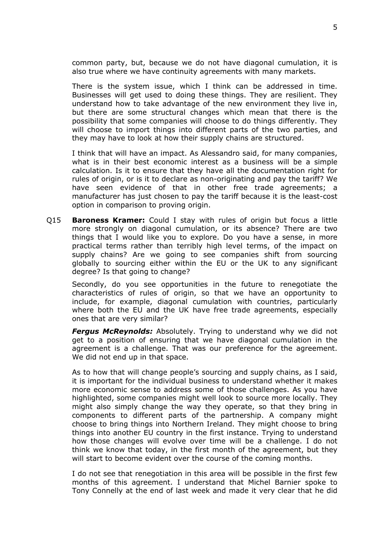common party, but, because we do not have diagonal cumulation, it is also true where we have continuity agreements with many markets.

There is the system issue, which I think can be addressed in time. Businesses will get used to doing these things. They are resilient. They understand how to take advantage of the new environment they live in, but there are some structural changes which mean that there is the possibility that some companies will choose to do things differently. They will choose to import things into different parts of the two parties, and they may have to look at how their supply chains are structured.

I think that will have an impact. As Alessandro said, for many companies, what is in their best economic interest as a business will be a simple calculation. Is it to ensure that they have all the documentation right for rules of origin, or is it to declare as non-originating and pay the tariff? We have seen evidence of that in other free trade agreements; a manufacturer has just chosen to pay the tariff because it is the least-cost option in comparison to proving origin.

Q15 **Baroness Kramer:** Could I stay with rules of origin but focus a little more strongly on diagonal cumulation, or its absence? There are two things that I would like you to explore. Do you have a sense, in more practical terms rather than terribly high level terms, of the impact on supply chains? Are we going to see companies shift from sourcing globally to sourcing either within the EU or the UK to any significant degree? Is that going to change?

Secondly, do you see opportunities in the future to renegotiate the characteristics of rules of origin, so that we have an opportunity to include, for example, diagonal cumulation with countries, particularly where both the EU and the UK have free trade agreements, especially ones that are very similar?

*Fergus McReynolds:* Absolutely. Trying to understand why we did not get to a position of ensuring that we have diagonal cumulation in the agreement is a challenge. That was our preference for the agreement. We did not end up in that space.

As to how that will change people's sourcing and supply chains, as I said, it is important for the individual business to understand whether it makes more economic sense to address some of those challenges. As you have highlighted, some companies might well look to source more locally. They might also simply change the way they operate, so that they bring in components to different parts of the partnership. A company might choose to bring things into Northern Ireland. They might choose to bring things into another EU country in the first instance. Trying to understand how those changes will evolve over time will be a challenge. I do not think we know that today, in the first month of the agreement, but they will start to become evident over the course of the coming months.

I do not see that renegotiation in this area will be possible in the first few months of this agreement. I understand that Michel Barnier spoke to Tony Connelly at the end of last week and made it very clear that he did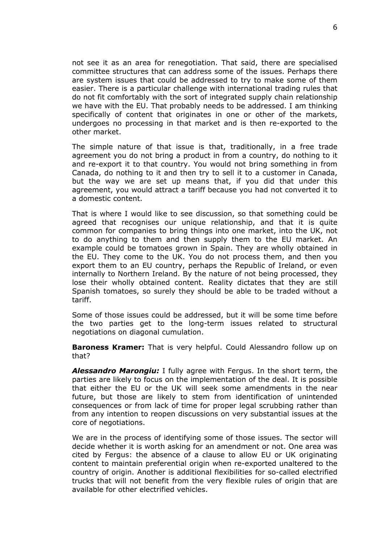not see it as an area for renegotiation. That said, there are specialised committee structures that can address some of the issues. Perhaps there are system issues that could be addressed to try to make some of them easier. There is a particular challenge with international trading rules that do not fit comfortably with the sort of integrated supply chain relationship we have with the EU. That probably needs to be addressed. I am thinking specifically of content that originates in one or other of the markets, undergoes no processing in that market and is then re-exported to the other market.

The simple nature of that issue is that, traditionally, in a free trade agreement you do not bring a product in from a country, do nothing to it and re-export it to that country. You would not bring something in from Canada, do nothing to it and then try to sell it to a customer in Canada, but the way we are set up means that, if you did that under this agreement, you would attract a tariff because you had not converted it to a domestic content.

That is where I would like to see discussion, so that something could be agreed that recognises our unique relationship, and that it is quite common for companies to bring things into one market, into the UK, not to do anything to them and then supply them to the EU market. An example could be tomatoes grown in Spain. They are wholly obtained in the EU. They come to the UK. You do not process them, and then you export them to an EU country, perhaps the Republic of Ireland, or even internally to Northern Ireland. By the nature of not being processed, they lose their wholly obtained content. Reality dictates that they are still Spanish tomatoes, so surely they should be able to be traded without a tariff.

Some of those issues could be addressed, but it will be some time before the two parties get to the long-term issues related to structural negotiations on diagonal cumulation.

**Baroness Kramer:** That is very helpful. Could Alessandro follow up on that?

*Alessandro Marongiu:* I fully agree with Fergus. In the short term, the parties are likely to focus on the implementation of the deal. It is possible that either the EU or the UK will seek some amendments in the near future, but those are likely to stem from identification of unintended consequences or from lack of time for proper legal scrubbing rather than from any intention to reopen discussions on very substantial issues at the core of negotiations.

We are in the process of identifying some of those issues. The sector will decide whether it is worth asking for an amendment or not. One area was cited by Fergus: the absence of a clause to allow EU or UK originating content to maintain preferential origin when re-exported unaltered to the country of origin. Another is additional flexibilities for so-called electrified trucks that will not benefit from the very flexible rules of origin that are available for other electrified vehicles.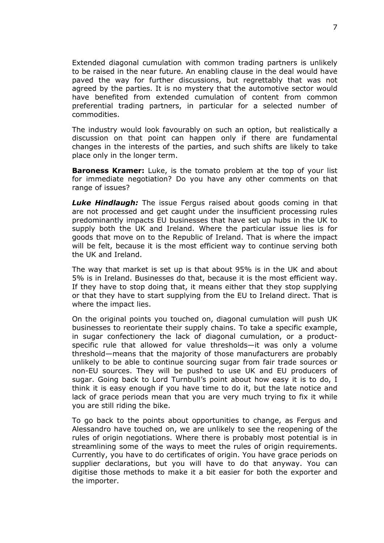Extended diagonal cumulation with common trading partners is unlikely to be raised in the near future. An enabling clause in the deal would have paved the way for further discussions, but regrettably that was not agreed by the parties. It is no mystery that the automotive sector would have benefited from extended cumulation of content from common preferential trading partners, in particular for a selected number of commodities.

The industry would look favourably on such an option, but realistically a discussion on that point can happen only if there are fundamental changes in the interests of the parties, and such shifts are likely to take place only in the longer term.

**Baroness Kramer:** Luke, is the tomato problem at the top of your list for immediate negotiation? Do you have any other comments on that range of issues?

*Luke Hindlaugh:* The issue Fergus raised about goods coming in that are not processed and get caught under the insufficient processing rules predominantly impacts EU businesses that have set up hubs in the UK to supply both the UK and Ireland. Where the particular issue lies is for goods that move on to the Republic of Ireland. That is where the impact will be felt, because it is the most efficient way to continue serving both the UK and Ireland.

The way that market is set up is that about 95% is in the UK and about 5% is in Ireland. Businesses do that, because it is the most efficient way. If they have to stop doing that, it means either that they stop supplying or that they have to start supplying from the EU to Ireland direct. That is where the impact lies.

On the original points you touched on, diagonal cumulation will push UK businesses to reorientate their supply chains. To take a specific example, in sugar confectionery the lack of diagonal cumulation, or a productspecific rule that allowed for value thresholds—it was only a volume threshold—means that the majority of those manufacturers are probably unlikely to be able to continue sourcing sugar from fair trade sources or non-EU sources. They will be pushed to use UK and EU producers of sugar. Going back to Lord Turnbull's point about how easy it is to do, I think it is easy enough if you have time to do it, but the late notice and lack of grace periods mean that you are very much trying to fix it while you are still riding the bike.

To go back to the points about opportunities to change, as Fergus and Alessandro have touched on, we are unlikely to see the reopening of the rules of origin negotiations. Where there is probably most potential is in streamlining some of the ways to meet the rules of origin requirements. Currently, you have to do certificates of origin. You have grace periods on supplier declarations, but you will have to do that anyway. You can digitise those methods to make it a bit easier for both the exporter and the importer.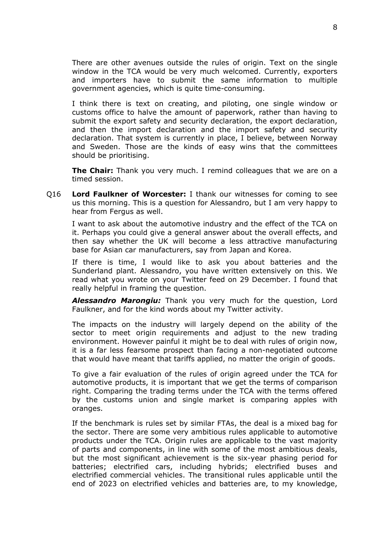There are other avenues outside the rules of origin. Text on the single window in the TCA would be very much welcomed. Currently, exporters and importers have to submit the same information to multiple government agencies, which is quite time-consuming.

I think there is text on creating, and piloting, one single window or customs office to halve the amount of paperwork, rather than having to submit the export safety and security declaration, the export declaration, and then the import declaration and the import safety and security declaration. That system is currently in place, I believe, between Norway and Sweden. Those are the kinds of easy wins that the committees should be prioritising.

**The Chair:** Thank you very much. I remind colleagues that we are on a timed session.

Q16 **Lord Faulkner of Worcester:** I thank our witnesses for coming to see us this morning. This is a question for Alessandro, but I am very happy to hear from Fergus as well.

I want to ask about the automotive industry and the effect of the TCA on it. Perhaps you could give a general answer about the overall effects, and then say whether the UK will become a less attractive manufacturing base for Asian car manufacturers, say from Japan and Korea.

If there is time, I would like to ask you about batteries and the Sunderland plant. Alessandro, you have written extensively on this. We read what you wrote on your Twitter feed on 29 December. I found that really helpful in framing the question.

*Alessandro Marongiu:* Thank you very much for the question, Lord Faulkner, and for the kind words about my Twitter activity.

The impacts on the industry will largely depend on the ability of the sector to meet origin requirements and adjust to the new trading environment. However painful it might be to deal with rules of origin now, it is a far less fearsome prospect than facing a non-negotiated outcome that would have meant that tariffs applied, no matter the origin of goods.

To give a fair evaluation of the rules of origin agreed under the TCA for automotive products, it is important that we get the terms of comparison right. Comparing the trading terms under the TCA with the terms offered by the customs union and single market is comparing apples with oranges.

If the benchmark is rules set by similar FTAs, the deal is a mixed bag for the sector. There are some very ambitious rules applicable to automotive products under the TCA. Origin rules are applicable to the vast majority of parts and components, in line with some of the most ambitious deals, but the most significant achievement is the six-year phasing period for batteries; electrified cars, including hybrids; electrified buses and electrified commercial vehicles. The transitional rules applicable until the end of 2023 on electrified vehicles and batteries are, to my knowledge,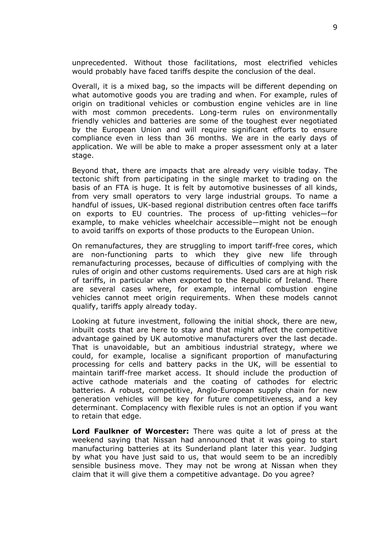unprecedented. Without those facilitations, most electrified vehicles would probably have faced tariffs despite the conclusion of the deal.

Overall, it is a mixed bag, so the impacts will be different depending on what automotive goods you are trading and when. For example, rules of origin on traditional vehicles or combustion engine vehicles are in line with most common precedents. Long-term rules on environmentally friendly vehicles and batteries are some of the toughest ever negotiated by the European Union and will require significant efforts to ensure compliance even in less than 36 months. We are in the early days of application. We will be able to make a proper assessment only at a later stage.

Beyond that, there are impacts that are already very visible today. The tectonic shift from participating in the single market to trading on the basis of an FTA is huge. It is felt by automotive businesses of all kinds, from very small operators to very large industrial groups. To name a handful of issues, UK-based regional distribution centres often face tariffs on exports to EU countries. The process of up-fitting vehicles—for example, to make vehicles wheelchair accessible—might not be enough to avoid tariffs on exports of those products to the European Union.

On remanufactures, they are struggling to import tariff-free cores, which are non-functioning parts to which they give new life through remanufacturing processes, because of difficulties of complying with the rules of origin and other customs requirements. Used cars are at high risk of tariffs, in particular when exported to the Republic of Ireland. There are several cases where, for example, internal combustion engine vehicles cannot meet origin requirements. When these models cannot qualify, tariffs apply already today.

Looking at future investment, following the initial shock, there are new, inbuilt costs that are here to stay and that might affect the competitive advantage gained by UK automotive manufacturers over the last decade. That is unavoidable, but an ambitious industrial strategy, where we could, for example, localise a significant proportion of manufacturing processing for cells and battery packs in the UK, will be essential to maintain tariff-free market access. It should include the production of active cathode materials and the coating of cathodes for electric batteries. A robust, competitive, Anglo-European supply chain for new generation vehicles will be key for future competitiveness, and a key determinant. Complacency with flexible rules is not an option if you want to retain that edge.

**Lord Faulkner of Worcester:** There was quite a lot of press at the weekend saying that Nissan had announced that it was going to start manufacturing batteries at its Sunderland plant later this year. Judging by what you have just said to us, that would seem to be an incredibly sensible business move. They may not be wrong at Nissan when they claim that it will give them a competitive advantage. Do you agree?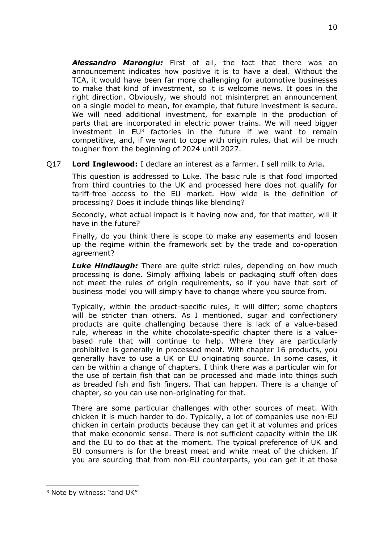*Alessandro Marongiu:* First of all, the fact that there was an announcement indicates how positive it is to have a deal. Without the TCA, it would have been far more challenging for automotive businesses to make that kind of investment, so it is welcome news. It goes in the right direction. Obviously, we should not misinterpret an announcement on a single model to mean, for example, that future investment is secure. We will need additional investment, for example in the production of parts that are incorporated in electric power trains. We will need bigger investment in  $EU^3$  factories in the future if we want to remain competitive, and, if we want to cope with origin rules, that will be much tougher from the beginning of 2024 until 2027.

Q17 **Lord Inglewood:** I declare an interest as a farmer. I sell milk to Arla.

This question is addressed to Luke. The basic rule is that food imported from third countries to the UK and processed here does not qualify for tariff-free access to the EU market. How wide is the definition of processing? Does it include things like blending?

Secondly, what actual impact is it having now and, for that matter, will it have in the future?

Finally, do you think there is scope to make any easements and loosen up the regime within the framework set by the trade and co-operation agreement?

*Luke Hindlaugh:* There are quite strict rules, depending on how much processing is done. Simply affixing labels or packaging stuff often does not meet the rules of origin requirements, so if you have that sort of business model you will simply have to change where you source from.

Typically, within the product-specific rules, it will differ; some chapters will be stricter than others. As I mentioned, sugar and confectionery products are quite challenging because there is lack of a value-based rule, whereas in the white chocolate-specific chapter there is a valuebased rule that will continue to help. Where they are particularly prohibitive is generally in processed meat. With chapter 16 products, you generally have to use a UK or EU originating source. In some cases, it can be within a change of chapters. I think there was a particular win for the use of certain fish that can be processed and made into things such as breaded fish and fish fingers. That can happen. There is a change of chapter, so you can use non-originating for that.

There are some particular challenges with other sources of meat. With chicken it is much harder to do. Typically, a lot of companies use non-EU chicken in certain products because they can get it at volumes and prices that make economic sense. There is not sufficient capacity within the UK and the EU to do that at the moment. The typical preference of UK and EU consumers is for the breast meat and white meat of the chicken. If you are sourcing that from non-EU counterparts, you can get it at those

<sup>3</sup> Note by witness: "and UK"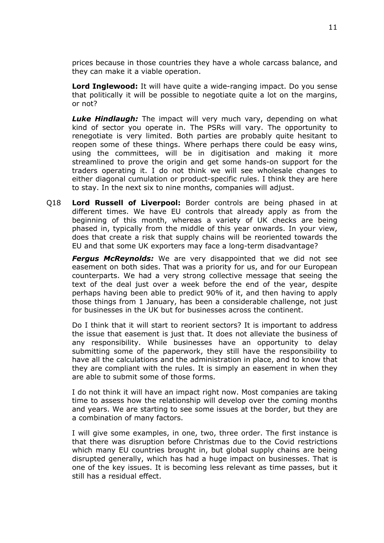prices because in those countries they have a whole carcass balance, and they can make it a viable operation.

**Lord Inglewood:** It will have quite a wide-ranging impact. Do you sense that politically it will be possible to negotiate quite a lot on the margins, or not?

*Luke Hindlaugh:* The impact will very much vary, depending on what kind of sector you operate in. The PSRs will vary. The opportunity to renegotiate is very limited. Both parties are probably quite hesitant to reopen some of these things. Where perhaps there could be easy wins, using the committees, will be in digitisation and making it more streamlined to prove the origin and get some hands-on support for the traders operating it. I do not think we will see wholesale changes to either diagonal cumulation or product-specific rules. I think they are here to stay. In the next six to nine months, companies will adjust.

Q18 **Lord Russell of Liverpool:** Border controls are being phased in at different times. We have EU controls that already apply as from the beginning of this month, whereas a variety of UK checks are being phased in, typically from the middle of this year onwards. In your view, does that create a risk that supply chains will be reoriented towards the EU and that some UK exporters may face a long-term disadvantage?

*Fergus McReynolds:* We are very disappointed that we did not see easement on both sides. That was a priority for us, and for our European counterparts. We had a very strong collective message that seeing the text of the deal just over a week before the end of the year, despite perhaps having been able to predict 90% of it, and then having to apply those things from 1 January, has been a considerable challenge, not just for businesses in the UK but for businesses across the continent.

Do I think that it will start to reorient sectors? It is important to address the issue that easement is just that. It does not alleviate the business of any responsibility. While businesses have an opportunity to delay submitting some of the paperwork, they still have the responsibility to have all the calculations and the administration in place, and to know that they are compliant with the rules. It is simply an easement in when they are able to submit some of those forms.

I do not think it will have an impact right now. Most companies are taking time to assess how the relationship will develop over the coming months and years. We are starting to see some issues at the border, but they are a combination of many factors.

I will give some examples, in one, two, three order. The first instance is that there was disruption before Christmas due to the Covid restrictions which many EU countries brought in, but global supply chains are being disrupted generally, which has had a huge impact on businesses. That is one of the key issues. It is becoming less relevant as time passes, but it still has a residual effect.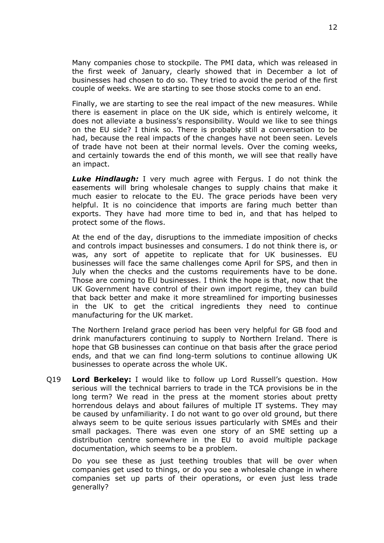Many companies chose to stockpile. The PMI data, which was released in the first week of January, clearly showed that in December a lot of businesses had chosen to do so. They tried to avoid the period of the first couple of weeks. We are starting to see those stocks come to an end.

Finally, we are starting to see the real impact of the new measures. While there is easement in place on the UK side, which is entirely welcome, it does not alleviate a business's responsibility. Would we like to see things on the EU side? I think so. There is probably still a conversation to be had, because the real impacts of the changes have not been seen. Levels of trade have not been at their normal levels. Over the coming weeks, and certainly towards the end of this month, we will see that really have an impact.

*Luke Hindlaugh:* I very much agree with Fergus. I do not think the easements will bring wholesale changes to supply chains that make it much easier to relocate to the EU. The grace periods have been very helpful. It is no coincidence that imports are faring much better than exports. They have had more time to bed in, and that has helped to protect some of the flows.

At the end of the day, disruptions to the immediate imposition of checks and controls impact businesses and consumers. I do not think there is, or was, any sort of appetite to replicate that for UK businesses. EU businesses will face the same challenges come April for SPS, and then in July when the checks and the customs requirements have to be done. Those are coming to EU businesses. I think the hope is that, now that the UK Government have control of their own import regime, they can build that back better and make it more streamlined for importing businesses in the UK to get the critical ingredients they need to continue manufacturing for the UK market.

The Northern Ireland grace period has been very helpful for GB food and drink manufacturers continuing to supply to Northern Ireland. There is hope that GB businesses can continue on that basis after the grace period ends, and that we can find long-term solutions to continue allowing UK businesses to operate across the whole UK.

Q19 **Lord Berkeley:** I would like to follow up Lord Russell's question. How serious will the technical barriers to trade in the TCA provisions be in the long term? We read in the press at the moment stories about pretty horrendous delays and about failures of multiple IT systems. They may be caused by unfamiliarity. I do not want to go over old ground, but there always seem to be quite serious issues particularly with SMEs and their small packages. There was even one story of an SME setting up a distribution centre somewhere in the EU to avoid multiple package documentation, which seems to be a problem.

Do you see these as just teething troubles that will be over when companies get used to things, or do you see a wholesale change in where companies set up parts of their operations, or even just less trade generally?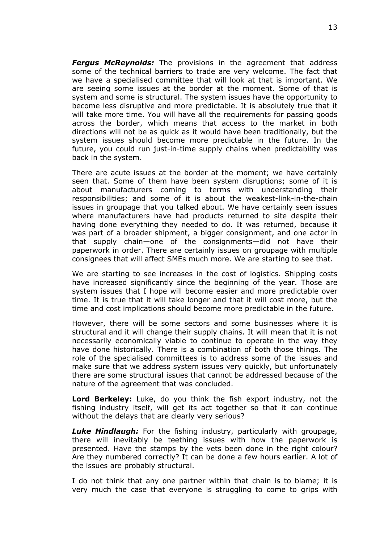*Fergus McReynolds:* The provisions in the agreement that address some of the technical barriers to trade are very welcome. The fact that we have a specialised committee that will look at that is important. We are seeing some issues at the border at the moment. Some of that is system and some is structural. The system issues have the opportunity to become less disruptive and more predictable. It is absolutely true that it will take more time. You will have all the requirements for passing goods across the border, which means that access to the market in both directions will not be as quick as it would have been traditionally, but the system issues should become more predictable in the future. In the future, you could run just-in-time supply chains when predictability was back in the system.

There are acute issues at the border at the moment; we have certainly seen that. Some of them have been system disruptions; some of it is about manufacturers coming to terms with understanding their responsibilities; and some of it is about the weakest-link-in-the-chain issues in groupage that you talked about. We have certainly seen issues where manufacturers have had products returned to site despite their having done everything they needed to do. It was returned, because it was part of a broader shipment, a bigger consignment, and one actor in that supply chain—one of the consignments—did not have their paperwork in order. There are certainly issues on groupage with multiple consignees that will affect SMEs much more. We are starting to see that.

We are starting to see increases in the cost of logistics. Shipping costs have increased significantly since the beginning of the year. Those are system issues that I hope will become easier and more predictable over time. It is true that it will take longer and that it will cost more, but the time and cost implications should become more predictable in the future.

However, there will be some sectors and some businesses where it is structural and it will change their supply chains. It will mean that it is not necessarily economically viable to continue to operate in the way they have done historically. There is a combination of both those things. The role of the specialised committees is to address some of the issues and make sure that we address system issues very quickly, but unfortunately there are some structural issues that cannot be addressed because of the nature of the agreement that was concluded.

**Lord Berkeley:** Luke, do you think the fish export industry, not the fishing industry itself, will get its act together so that it can continue without the delays that are clearly very serious?

*Luke Hindlaugh:* For the fishing industry, particularly with groupage, there will inevitably be teething issues with how the paperwork is presented. Have the stamps by the vets been done in the right colour? Are they numbered correctly? It can be done a few hours earlier. A lot of the issues are probably structural.

I do not think that any one partner within that chain is to blame; it is very much the case that everyone is struggling to come to grips with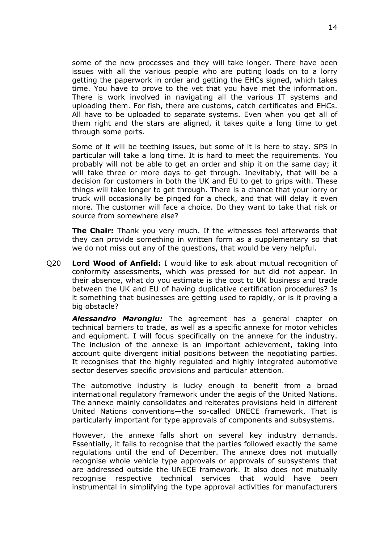some of the new processes and they will take longer. There have been issues with all the various people who are putting loads on to a lorry getting the paperwork in order and getting the EHCs signed, which takes time. You have to prove to the vet that you have met the information. There is work involved in navigating all the various IT systems and uploading them. For fish, there are customs, catch certificates and EHCs. All have to be uploaded to separate systems. Even when you get all of them right and the stars are aligned, it takes quite a long time to get through some ports.

Some of it will be teething issues, but some of it is here to stay. SPS in particular will take a long time. It is hard to meet the requirements. You probably will not be able to get an order and ship it on the same day; it will take three or more days to get through. Inevitably, that will be a decision for customers in both the UK and EU to get to grips with. These things will take longer to get through. There is a chance that your lorry or truck will occasionally be pinged for a check, and that will delay it even more. The customer will face a choice. Do they want to take that risk or source from somewhere else?

**The Chair:** Thank you very much. If the witnesses feel afterwards that they can provide something in written form as a supplementary so that we do not miss out any of the questions, that would be very helpful.

Q20 **Lord Wood of Anfield:** I would like to ask about mutual recognition of conformity assessments, which was pressed for but did not appear. In their absence, what do you estimate is the cost to UK business and trade between the UK and EU of having duplicative certification procedures? Is it something that businesses are getting used to rapidly, or is it proving a big obstacle?

*Alessandro Marongiu:* The agreement has a general chapter on technical barriers to trade, as well as a specific annexe for motor vehicles and equipment. I will focus specifically on the annexe for the industry. The inclusion of the annexe is an important achievement, taking into account quite divergent initial positions between the negotiating parties. It recognises that the highly regulated and highly integrated automotive sector deserves specific provisions and particular attention.

The automotive industry is lucky enough to benefit from a broad international regulatory framework under the aegis of the United Nations. The annexe mainly consolidates and reiterates provisions held in different United Nations conventions—the so-called UNECE framework. That is particularly important for type approvals of components and subsystems.

However, the annexe falls short on several key industry demands. Essentially, it fails to recognise that the parties followed exactly the same regulations until the end of December. The annexe does not mutually recognise whole vehicle type approvals or approvals of subsystems that are addressed outside the UNECE framework. It also does not mutually recognise respective technical services that would have been instrumental in simplifying the type approval activities for manufacturers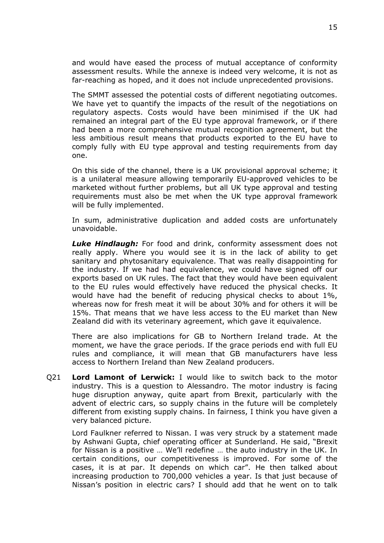and would have eased the process of mutual acceptance of conformity assessment results. While the annexe is indeed very welcome, it is not as far-reaching as hoped, and it does not include unprecedented provisions.

The SMMT assessed the potential costs of different negotiating outcomes. We have yet to quantify the impacts of the result of the negotiations on regulatory aspects. Costs would have been minimised if the UK had remained an integral part of the EU type approval framework, or if there had been a more comprehensive mutual recognition agreement, but the less ambitious result means that products exported to the EU have to comply fully with EU type approval and testing requirements from day one.

On this side of the channel, there is a UK provisional approval scheme; it is a unilateral measure allowing temporarily EU-approved vehicles to be marketed without further problems, but all UK type approval and testing requirements must also be met when the UK type approval framework will be fully implemented.

In sum, administrative duplication and added costs are unfortunately unavoidable.

*Luke Hindlaugh:* For food and drink, conformity assessment does not really apply. Where you would see it is in the lack of ability to get sanitary and phytosanitary equivalence. That was really disappointing for the industry. If we had had equivalence, we could have signed off our exports based on UK rules. The fact that they would have been equivalent to the EU rules would effectively have reduced the physical checks. It would have had the benefit of reducing physical checks to about 1%, whereas now for fresh meat it will be about 30% and for others it will be 15%. That means that we have less access to the EU market than New Zealand did with its veterinary agreement, which gave it equivalence.

There are also implications for GB to Northern Ireland trade. At the moment, we have the grace periods. If the grace periods end with full EU rules and compliance, it will mean that GB manufacturers have less access to Northern Ireland than New Zealand producers.

Q21 **Lord Lamont of Lerwick:** I would like to switch back to the motor industry. This is a question to Alessandro. The motor industry is facing huge disruption anyway, quite apart from Brexit, particularly with the advent of electric cars, so supply chains in the future will be completely different from existing supply chains. In fairness, I think you have given a very balanced picture.

Lord Faulkner referred to Nissan. I was very struck by a statement made by Ashwani Gupta, chief operating officer at Sunderland. He said, "Brexit for Nissan is a positive … We'll redefine … the auto industry in the UK. In certain conditions, our competitiveness is improved. For some of the cases, it is at par. It depends on which car". He then talked about increasing production to 700,000 vehicles a year. Is that just because of Nissan's position in electric cars? I should add that he went on to talk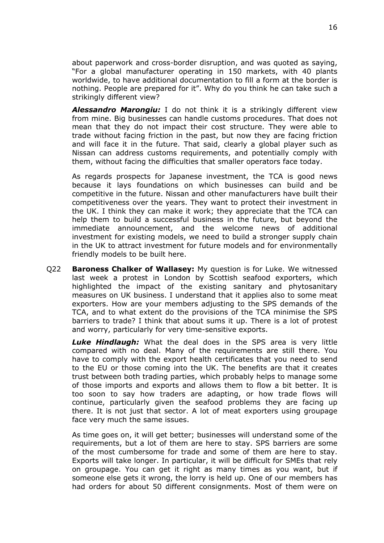about paperwork and cross-border disruption, and was quoted as saying, "For a global manufacturer operating in 150 markets, with 40 plants worldwide, to have additional documentation to fill a form at the border is nothing. People are prepared for it". Why do you think he can take such a strikingly different view?

*Alessandro Marongiu:* I do not think it is a strikingly different view from mine. Big businesses can handle customs procedures. That does not mean that they do not impact their cost structure. They were able to trade without facing friction in the past, but now they are facing friction and will face it in the future. That said, clearly a global player such as Nissan can address customs requirements, and potentially comply with them, without facing the difficulties that smaller operators face today.

As regards prospects for Japanese investment, the TCA is good news because it lays foundations on which businesses can build and be competitive in the future. Nissan and other manufacturers have built their competitiveness over the years. They want to protect their investment in the UK. I think they can make it work; they appreciate that the TCA can help them to build a successful business in the future, but beyond the immediate announcement, and the welcome news of additional investment for existing models, we need to build a stronger supply chain in the UK to attract investment for future models and for environmentally friendly models to be built here.

Q22 **Baroness Chalker of Wallasey:** My question is for Luke. We witnessed last week a protest in London by Scottish seafood exporters, which highlighted the impact of the existing sanitary and phytosanitary measures on UK business. I understand that it applies also to some meat exporters. How are your members adjusting to the SPS demands of the TCA, and to what extent do the provisions of the TCA minimise the SPS barriers to trade? I think that about sums it up. There is a lot of protest and worry, particularly for very time-sensitive exports.

*Luke Hindlaugh:* What the deal does in the SPS area is very little compared with no deal. Many of the requirements are still there. You have to comply with the export health certificates that you need to send to the EU or those coming into the UK. The benefits are that it creates trust between both trading parties, which probably helps to manage some of those imports and exports and allows them to flow a bit better. It is too soon to say how traders are adapting, or how trade flows will continue, particularly given the seafood problems they are facing up there. It is not just that sector. A lot of meat exporters using groupage face very much the same issues.

As time goes on, it will get better; businesses will understand some of the requirements, but a lot of them are here to stay. SPS barriers are some of the most cumbersome for trade and some of them are here to stay. Exports will take longer. In particular, it will be difficult for SMEs that rely on groupage. You can get it right as many times as you want, but if someone else gets it wrong, the lorry is held up. One of our members has had orders for about 50 different consignments. Most of them were on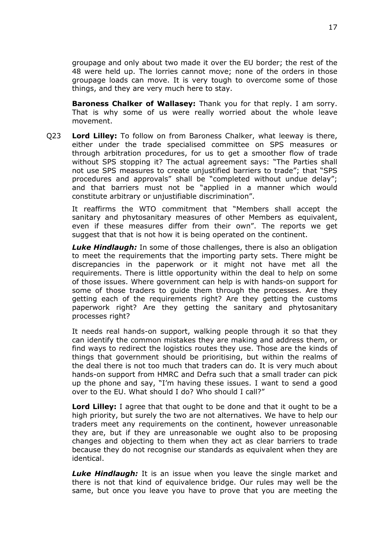groupage and only about two made it over the EU border; the rest of the 48 were held up. The lorries cannot move; none of the orders in those groupage loads can move. It is very tough to overcome some of those things, and they are very much here to stay.

**Baroness Chalker of Wallasey:** Thank you for that reply. I am sorry. That is why some of us were really worried about the whole leave movement.

Q23 **Lord Lilley:** To follow on from Baroness Chalker, what leeway is there, either under the trade specialised committee on SPS measures or through arbitration procedures, for us to get a smoother flow of trade without SPS stopping it? The actual agreement says: "The Parties shall not use SPS measures to create unjustified barriers to trade"; that "SPS procedures and approvals" shall be "completed without undue delay"; and that barriers must not be "applied in a manner which would constitute arbitrary or unjustifiable discrimination".

It reaffirms the WTO commitment that "Members shall accept the sanitary and phytosanitary measures of other Members as equivalent, even if these measures differ from their own". The reports we get suggest that that is not how it is being operated on the continent.

*Luke Hindlaugh:* In some of those challenges, there is also an obligation to meet the requirements that the importing party sets. There might be discrepancies in the paperwork or it might not have met all the requirements. There is little opportunity within the deal to help on some of those issues. Where government can help is with hands-on support for some of those traders to guide them through the processes. Are they getting each of the requirements right? Are they getting the customs paperwork right? Are they getting the sanitary and phytosanitary processes right?

It needs real hands-on support, walking people through it so that they can identify the common mistakes they are making and address them, or find ways to redirect the logistics routes they use. Those are the kinds of things that government should be prioritising, but within the realms of the deal there is not too much that traders can do. It is very much about hands-on support from HMRC and Defra such that a small trader can pick up the phone and say, "I'm having these issues. I want to send a good over to the EU. What should I do? Who should I call?"

**Lord Lilley:** I agree that that ought to be done and that it ought to be a high priority, but surely the two are not alternatives. We have to help our traders meet any requirements on the continent, however unreasonable they are, but if they are unreasonable we ought also to be proposing changes and objecting to them when they act as clear barriers to trade because they do not recognise our standards as equivalent when they are identical.

*Luke Hindlaugh:* It is an issue when you leave the single market and there is not that kind of equivalence bridge. Our rules may well be the same, but once you leave you have to prove that you are meeting the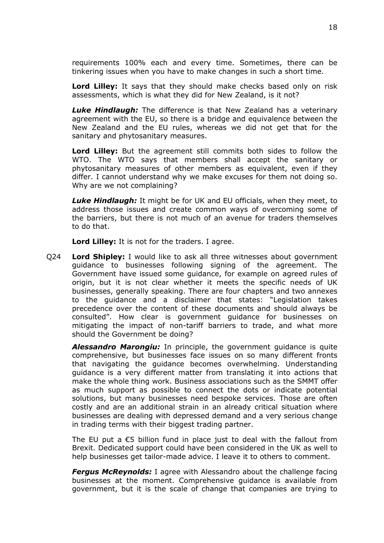requirements 100% each and every time. Sometimes, there can be tinkering issues when you have to make changes in such a short time.

**Lord Lilley:** It says that they should make checks based only on risk assessments, which is what they did for New Zealand, is it not?

*Luke Hindlaugh:* The difference is that New Zealand has a veterinary agreement with the EU, so there is a bridge and equivalence between the New Zealand and the EU rules, whereas we did not get that for the sanitary and phytosanitary measures.

**Lord Lilley:** But the agreement still commits both sides to follow the WTO. The WTO says that members shall accept the sanitary or phytosanitary measures of other members as equivalent, even if they differ. I cannot understand why we make excuses for them not doing so. Why are we not complaining?

*Luke Hindlaugh:* It might be for UK and EU officials, when they meet, to address those issues and create common ways of overcoming some of the barriers, but there is not much of an avenue for traders themselves to do that.

**Lord Lilley:** It is not for the traders. I agree.

Q24 **Lord Shipley:** I would like to ask all three witnesses about government guidance to businesses following signing of the agreement. The Government have issued some guidance, for example on agreed rules of origin, but it is not clear whether it meets the specific needs of UK businesses, generally speaking. There are four chapters and two annexes to the guidance and a disclaimer that states: "Legislation takes precedence over the content of these documents and should always be consulted". How clear is government guidance for businesses on mitigating the impact of non-tariff barriers to trade, and what more should the Government be doing?

*Alessandro Marongiu:* In principle, the government guidance is quite comprehensive, but businesses face issues on so many different fronts that navigating the guidance becomes overwhelming. Understanding guidance is a very different matter from translating it into actions that make the whole thing work. Business associations such as the SMMT offer as much support as possible to connect the dots or indicate potential solutions, but many businesses need bespoke services. Those are often costly and are an additional strain in an already critical situation where businesses are dealing with depressed demand and a very serious change in trading terms with their biggest trading partner.

The EU put a  $\epsilon$ 5 billion fund in place just to deal with the fallout from Brexit. Dedicated support could have been considered in the UK as well to help businesses get tailor-made advice. I leave it to others to comment.

*Fergus McReynolds:* I agree with Alessandro about the challenge facing businesses at the moment. Comprehensive guidance is available from government, but it is the scale of change that companies are trying to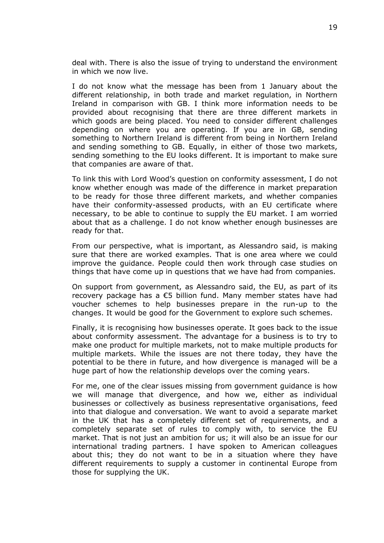deal with. There is also the issue of trying to understand the environment in which we now live.

I do not know what the message has been from 1 January about the different relationship, in both trade and market regulation, in Northern Ireland in comparison with GB. I think more information needs to be provided about recognising that there are three different markets in which goods are being placed. You need to consider different challenges depending on where you are operating. If you are in GB, sending something to Northern Ireland is different from being in Northern Ireland and sending something to GB. Equally, in either of those two markets, sending something to the EU looks different. It is important to make sure that companies are aware of that.

To link this with Lord Wood's question on conformity assessment, I do not know whether enough was made of the difference in market preparation to be ready for those three different markets, and whether companies have their conformity-assessed products, with an EU certificate where necessary, to be able to continue to supply the EU market. I am worried about that as a challenge. I do not know whether enough businesses are ready for that.

From our perspective, what is important, as Alessandro said, is making sure that there are worked examples. That is one area where we could improve the guidance. People could then work through case studies on things that have come up in questions that we have had from companies.

On support from government, as Alessandro said, the EU, as part of its recovery package has a €5 billion fund. Many member states have had voucher schemes to help businesses prepare in the run-up to the changes. It would be good for the Government to explore such schemes.

Finally, it is recognising how businesses operate. It goes back to the issue about conformity assessment. The advantage for a business is to try to make one product for multiple markets, not to make multiple products for multiple markets. While the issues are not there today, they have the potential to be there in future, and how divergence is managed will be a huge part of how the relationship develops over the coming years.

For me, one of the clear issues missing from government guidance is how we will manage that divergence, and how we, either as individual businesses or collectively as business representative organisations, feed into that dialogue and conversation. We want to avoid a separate market in the UK that has a completely different set of requirements, and a completely separate set of rules to comply with, to service the EU market. That is not just an ambition for us; it will also be an issue for our international trading partners. I have spoken to American colleagues about this; they do not want to be in a situation where they have different requirements to supply a customer in continental Europe from those for supplying the UK.